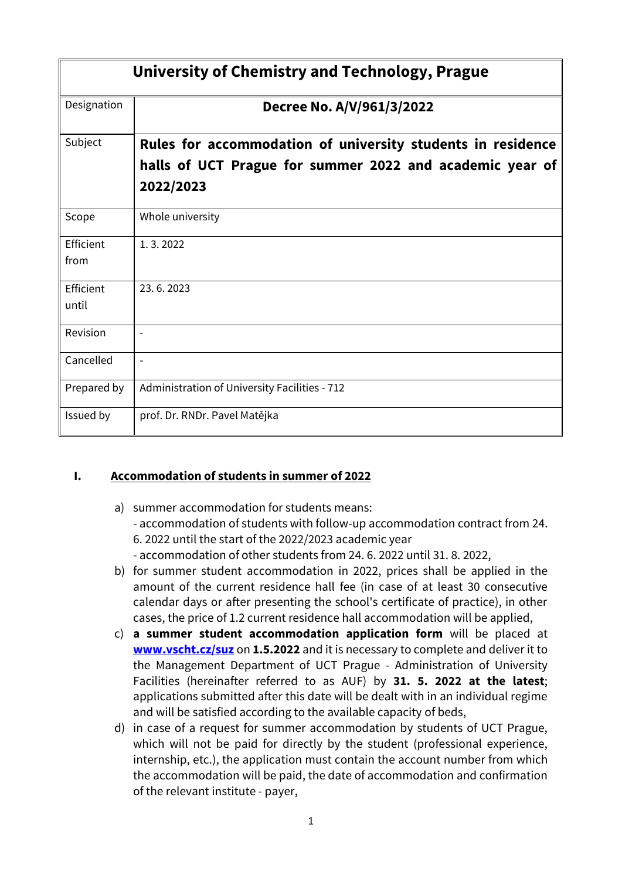| University of Chemistry and Technology, Prague |                                                                                                                                      |  |  |
|------------------------------------------------|--------------------------------------------------------------------------------------------------------------------------------------|--|--|
| Designation                                    | Decree No. A/V/961/3/2022                                                                                                            |  |  |
| Subject                                        | Rules for accommodation of university students in residence<br>halls of UCT Prague for summer 2022 and academic year of<br>2022/2023 |  |  |
| Scope                                          | Whole university                                                                                                                     |  |  |
| Efficient<br>from                              | 1.3.2022                                                                                                                             |  |  |
| Efficient<br>until                             | 23.6.2023                                                                                                                            |  |  |
| Revision                                       | $\overline{a}$                                                                                                                       |  |  |
| Cancelled                                      | $\overline{a}$                                                                                                                       |  |  |
| Prepared by                                    | Administration of University Facilities - 712                                                                                        |  |  |
| Issued by                                      | prof. Dr. RNDr. Pavel Matějka                                                                                                        |  |  |

# **I. Accommodation of students in summer of 2022**

- a) summer accommodation for students means: - accommodation of students with follow-up accommodation contract from 24. 6. 2022 until the start of the 2022/2023 academic year - accommodation of other students from 24. 6. 2022 until 31. 8. 2022,
- b) for summer student accommodation in 2022, prices shall be applied in the amount of the current residence hall fee (in case of at least 30 consecutive calendar days or after presenting the school's certificate of practice), in other cases, the price of 1.2 current residence hall accommodation will be applied,
- c) **a summer student accommodation application form** will be placed at **[www.vscht.cz/suz](http://www.vscht.cz/suz)** on **1.5.2022** and it is necessary to complete and deliver it to the Management Department of UCT Prague - Administration of University Facilities (hereinafter referred to as AUF) by **31. 5. 2022 at the latest**; applications submitted after this date will be dealt with in an individual regime and will be satisfied according to the available capacity of beds,
- d) in case of a request for summer accommodation by students of UCT Prague, which will not be paid for directly by the student (professional experience, internship, etc.), the application must contain the account number from which the accommodation will be paid, the date of accommodation and confirmation of the relevant institute - payer,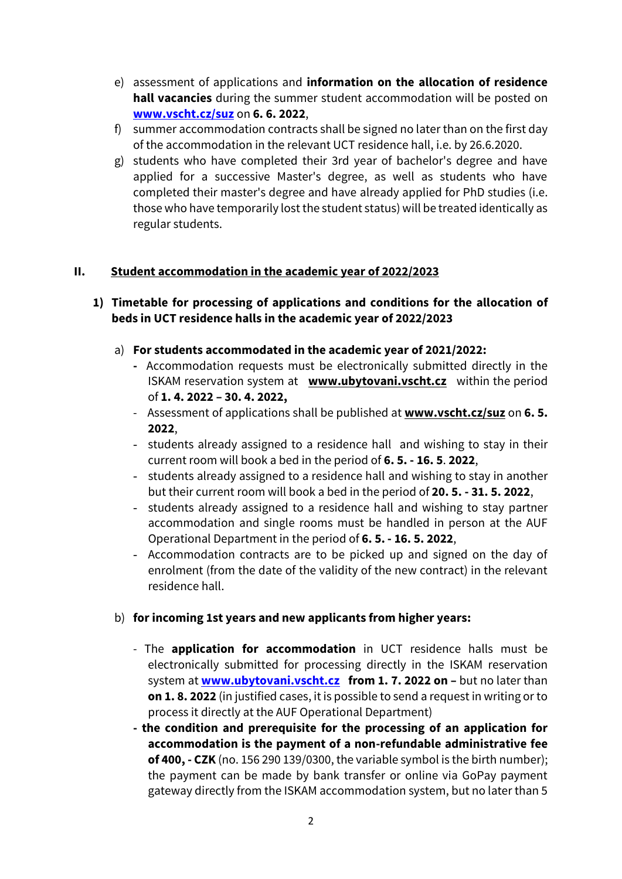- e) assessment of applications and **information on the allocation of residence hall vacancies** during the summer student accommodation will be posted on **[www.vscht.cz/suz](http://www.vscht.cz/suz)** on **6. 6. 2022**,
- f) summer accommodation contracts shall be signed no later than on the first day of the accommodation in the relevant UCT residence hall, i.e. by 26.6.2020.
- g) students who have completed their 3rd year of bachelor's degree and have applied for a successive Master's degree, as well as students who have completed their master's degree and have already applied for PhD studies (i.e. those who have temporarily lost the student status) will be treated identically as regular students.

# **II. Student accommodation in the academic year of 2022/2023**

#### **1) Timetable for processing of applications and conditions for the allocation of beds in UCT residence halls in the academic year of 2022/2023**

- a) **For students accommodated in the academic year of 2021/2022:**
	- **-** Accommodation requests must be electronically submitted directly in the ISKAM reservation system at **[www.ubytovani.vscht.cz](http://www.ubytovani.vscht.cz/)** within the period of **1. 4. 2022 – 30. 4. 2022,**
	- Assessment of applications shall be published at **[www.vscht.cz/suz](http://www.vscht.cz/suz)** on **6. 5. 2022**,
	- students already assigned to a residence hall and wishing to stay in their current room will book a bed in the period of **6. 5. - 16. 5**. **2022**,
	- students already assigned to a residence hall and wishing to stay in another but their current room will book a bed in the period of **20. 5. - 31. 5. 2022**,
	- students already assigned to a residence hall and wishing to stay partner accommodation and single rooms must be handled in person at the AUF Operational Department in the period of **6. 5. - 16. 5. 2022**,
	- Accommodation contracts are to be picked up and signed on the day of enrolment (from the date of the validity of the new contract) in the relevant residence hall.

# b) **for incoming 1st years and new applicants from higher years:**

- The **application for accommodation** in UCT residence halls must be electronically submitted for processing directly in the ISKAM reservation system at **[www.ubytovani.vscht.cz](http://www.ubytovani.vscht.cz/) from 1. 7. 2022 on –** but no later than **on 1. 8. 2022** (in justified cases, it is possible to send a request in writing or to process it directly at the AUF Operational Department)
- **- the condition and prerequisite for the processing of an application for accommodation is the payment of a non-refundable administrative fee of 400, - CZK** (no. 156 290 139/0300, the variable symbol is the birth number); the payment can be made by bank transfer or online via GoPay payment gateway directly from the ISKAM accommodation system, but no later than 5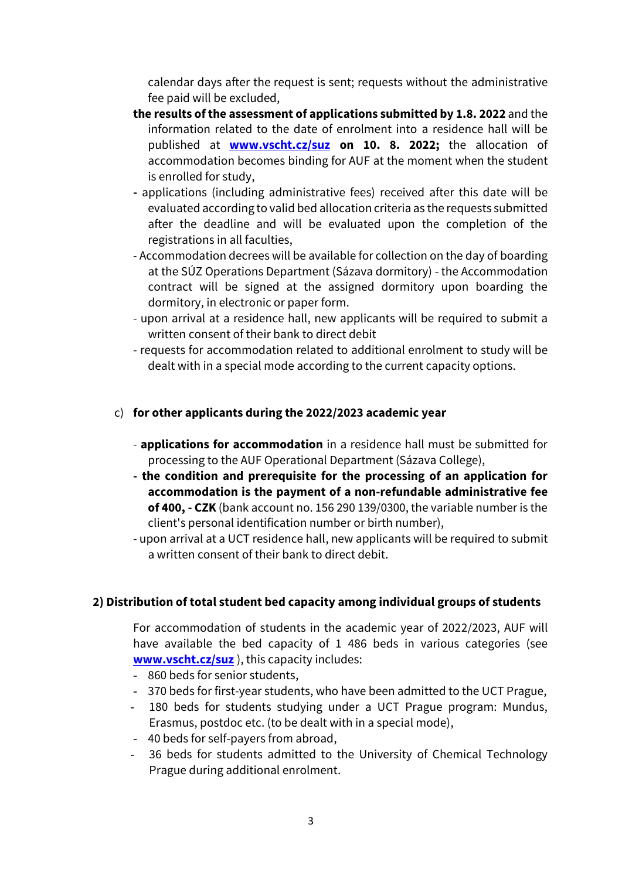calendar days after the request is sent; requests without the administrative fee paid will be excluded,

- **the results of the assessment of applications submitted by 1.8. 2022** and the information related to the date of enrolment into a residence hall will be published at **[www.vscht.cz/suz](file:///C:/Users/prihodaa/Documents/%20Users%20Castner%20AppData%20Local%20Microsoft%20Windows%20Internet%20Files%20Content.OutlookCMU0PCY) on 10. 8. 2022;** the allocation of accommodation becomes binding for AUF at the moment when the student is enrolled for study,
- **-** applications (including administrative fees) received after this date will be evaluated according to valid bed allocation criteria as the requests submitted after the deadline and will be evaluated upon the completion of the registrations in all faculties,
- Accommodation decrees will be available for collection on the day of boarding at the SÚZ Operations Department (Sázava dormitory) - the Accommodation contract will be signed at the assigned dormitory upon boarding the dormitory, in electronic or paper form.
- upon arrival at a residence hall, new applicants will be required to submit a written consent of their bank to direct debit
- requests for accommodation related to additional enrolment to study will be dealt with in a special mode according to the current capacity options.

# c) **for other applicants during the 2022/2023 academic year**

- **applications for accommodation** in a residence hall must be submitted for processing to the AUF Operational Department (Sázava College),
- **- the condition and prerequisite for the processing of an application for accommodation is the payment of a non-refundable administrative fee of 400, - CZK** (bank account no. 156 290 139/0300, the variable number is the client's personal identification number or birth number),
- upon arrival at a UCT residence hall, new applicants will be required to submit a written consent of their bank to direct debit.

# **2) Distribution of total student bed capacity among individual groups of students**

For accommodation of students in the academic year of 2022/2023, AUF will have available the bed capacity of 1 486 beds in various categories (see **[www.vscht.cz/suz](http://www.vscht.cz/suz)** ), this capacity includes:

- 860 beds for senior students,
- 370 beds for first-year students, who have been admitted to the UCT Prague,
- 180 beds for students studying under a UCT Prague program: Mundus, Erasmus, postdoc etc. (to be dealt with in a special mode),
- 40 beds for self-payers from abroad,
- 36 beds for students admitted to the University of Chemical Technology Prague during additional enrolment.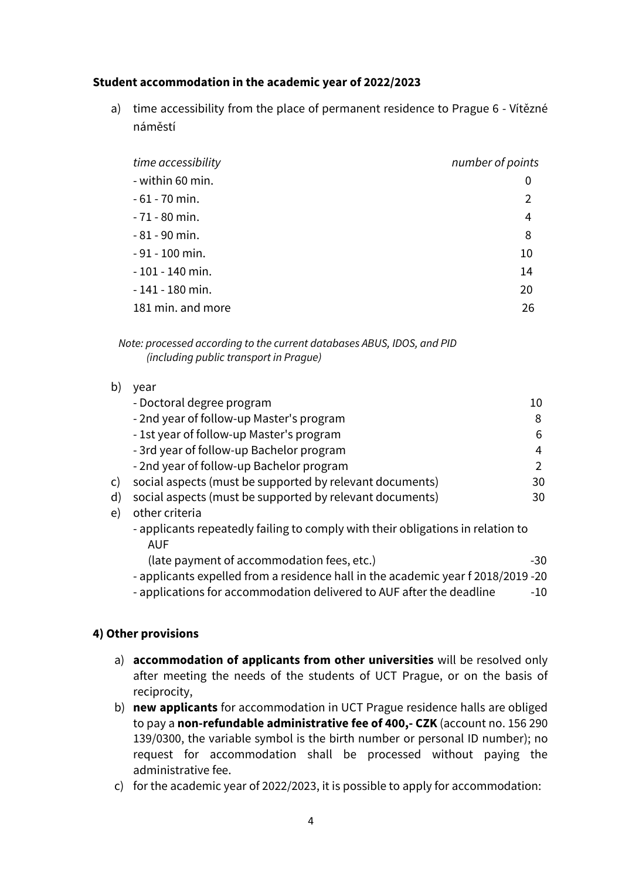#### **Student accommodation in the academic year of 2022/2023**

a) time accessibility from the place of permanent residence to Prague 6 - Vítězné náměstí

| time accessibility | number of points |
|--------------------|------------------|
| - within 60 min.   | 0                |
| $-61 - 70$ min.    | 2                |
| $-71 - 80$ min.    | 4                |
| $-81 - 90$ min.    | 8                |
| $-91 - 100$ min.   | 10               |
| $-101 - 140$ min.  | 14               |
| $-141 - 180$ min.  | 20               |
| 181 min. and more  | 26               |

*Note: processed according to the current databases ABUS, IDOS, and PID (including public transport in Prague)*

| b)           | vear                                                                                          |     |
|--------------|-----------------------------------------------------------------------------------------------|-----|
|              | - Doctoral degree program                                                                     | 10  |
|              | - 2nd year of follow-up Master's program                                                      | 8   |
|              | - 1st year of follow-up Master's program                                                      | 6   |
|              | - 3rd year of follow-up Bachelor program                                                      | 4   |
|              | - 2nd year of follow-up Bachelor program                                                      | 2   |
| $\mathsf{C}$ | social aspects (must be supported by relevant documents)                                      | 30  |
| $\mathsf{d}$ | social aspects (must be supported by relevant documents)                                      | 30  |
| e)           | other criteria                                                                                |     |
|              | - applicants repeatedly failing to comply with their obligations in relation to<br><b>AUF</b> |     |
|              | (late payment of accommodation fees, etc.)                                                    | -30 |
|              | - applicants expelled from a residence hall in the academic year f 2018/2019 -20              |     |

- applications for accommodation delivered to AUF after the deadline -10

#### **4) Other provisions**

- a) **accommodation of applicants from other universities** will be resolved only after meeting the needs of the students of UCT Prague, or on the basis of reciprocity,
- b) **new applicants** for accommodation in UCT Prague residence halls are obliged to pay a **non-refundable administrative fee of 400,- CZK** (account no. 156 290 139/0300, the variable symbol is the birth number or personal ID number); no request for accommodation shall be processed without paying the administrative fee.
- c) for the academic year of 2022/2023, it is possible to apply for accommodation: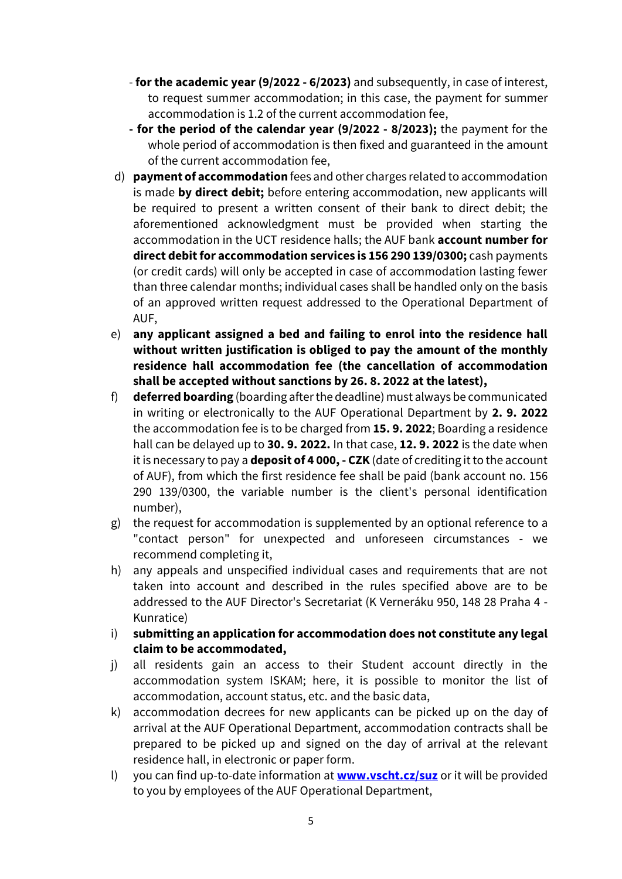- **for the academic year (9/2022 - 6/2023)** and subsequently, in case of interest, to request summer accommodation; in this case, the payment for summer accommodation is 1.2 of the current accommodation fee,
- **- for the period of the calendar year (9/2022 - 8/2023);** the payment for the whole period of accommodation is then fixed and guaranteed in the amount of the current accommodation fee,
- d) **payment of accommodation** fees and other charges related to accommodation is made **by direct debit;** before entering accommodation, new applicants will be required to present a written consent of their bank to direct debit; the aforementioned acknowledgment must be provided when starting the accommodation in the UCT residence halls; the AUF bank **account number for direct debit for accommodation services is 156 290 139/0300;** cash payments (or credit cards) will only be accepted in case of accommodation lasting fewer than three calendar months; individual cases shall be handled only on the basis of an approved written request addressed to the Operational Department of AUF,
- e) **any applicant assigned a bed and failing to enrol into the residence hall without written justification is obliged to pay the amount of the monthly residence hall accommodation fee (the cancellation of accommodation shall be accepted without sanctions by 26. 8. 2022 at the latest),**
- f) **deferred boarding** (boarding after the deadline) must always be communicated in writing or electronically to the AUF Operational Department by **2. 9. 2022**  the accommodation fee is to be charged from **15. 9. 2022**; Boarding a residence hall can be delayed up to **30. 9. 2022.** In that case, **12. 9. 2022** is the date when it is necessary to pay a **deposit of 4 000, - CZK** (date of crediting it to the account of AUF), from which the first residence fee shall be paid (bank account no. 156 290 139/0300, the variable number is the client's personal identification number),
- g) the request for accommodation is supplemented by an optional reference to a "contact person" for unexpected and unforeseen circumstances - we recommend completing it,
- h) any appeals and unspecified individual cases and requirements that are not taken into account and described in the rules specified above are to be addressed to the AUF Director's Secretariat (K Verneráku 950, 148 28 Praha 4 - Kunratice)
- i) **submitting an application for accommodation does not constitute any legal claim to be accommodated,**
- j) all residents gain an access to their Student account directly in the accommodation system ISKAM; here, it is possible to monitor the list of accommodation, account status, etc. and the basic data,
- k) accommodation decrees for new applicants can be picked up on the day of arrival at the AUF Operational Department, accommodation contracts shall be prepared to be picked up and signed on the day of arrival at the relevant residence hall, in electronic or paper form.
- l) you can find up-to-date information at **[www.vscht.cz/suz](http://www.vscht.cz/suz)** or it will be provided to you by employees of the AUF Operational Department,